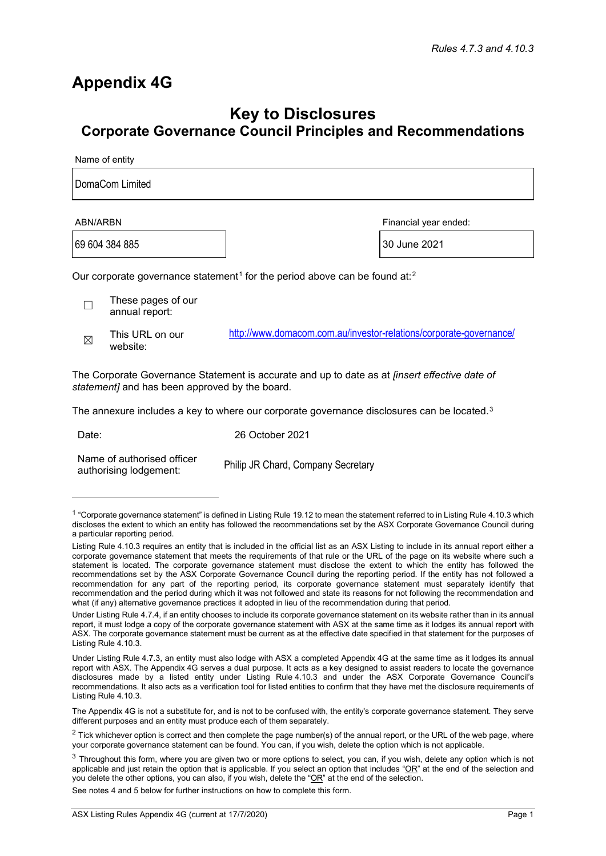## **Appendix 4G**

## **Key to Disclosures Corporate Governance Council Principles and Recommendations**

Name of entity

| DomaCom Limited                                                                                    |                                      |                                                                    |                       |  |
|----------------------------------------------------------------------------------------------------|--------------------------------------|--------------------------------------------------------------------|-----------------------|--|
| ABN/ARBN                                                                                           |                                      |                                                                    | Financial year ended: |  |
| 69 604 384 885                                                                                     |                                      |                                                                    | 30 June 2021          |  |
| Our corporate governance statement <sup>1</sup> for the period above can be found at: <sup>2</sup> |                                      |                                                                    |                       |  |
|                                                                                                    | These pages of our<br>annual report: |                                                                    |                       |  |
| $\boxtimes$                                                                                        | This URL on our<br>website:          | http://www.domacom.com.au/investor-relations/corporate-governance/ |                       |  |

The Corporate Governance Statement is accurate and up to date as at *[insert effective date of statement]* and has been approved by the board.

The annexure includes a key to where our corporate governance disclosures can be located.<sup>[3](#page-0-2)</sup>

Date:

26 October 2021

Name of authorised officer authorising lodgement:

Philip JR Chard, Company Secretary

See notes 4 and 5 below for further instructions on how to complete this form.

<span id="page-0-0"></span> $1$  "Corporate governance statement" is defined in Listing Rule 19.12 to mean the statement referred to in Listing Rule 4.10.3 which discloses the extent to which an entity has followed the recommendations set by the ASX Corporate Governance Council during a particular reporting period.

Listing Rule 4.10.3 requires an entity that is included in the official list as an ASX Listing to include in its annual report either a corporate governance statement that meets the requirements of that rule or the URL of the page on its website where such a statement is located. The corporate governance statement must disclose the extent to which the entity has followed the recommendations set by the ASX Corporate Governance Council during the reporting period. If the entity has not followed a recommendation for any part of the reporting period, its corporate governance statement must separately identify that recommendation and the period during which it was not followed and state its reasons for not following the recommendation and what (if any) alternative governance practices it adopted in lieu of the recommendation during that period.

Under Listing Rule 4.7.4, if an entity chooses to include its corporate governance statement on its website rather than in its annual report, it must lodge a copy of the corporate governance statement with ASX at the same time as it lodges its annual report with ASX. The corporate governance statement must be current as at the effective date specified in that statement for the purposes of Listing Rule 4.10.3.

Under Listing Rule 4.7.3, an entity must also lodge with ASX a completed Appendix 4G at the same time as it lodges its annual report with ASX. The Appendix 4G serves a dual purpose. It acts as a key designed to assist readers to locate the governance disclosures made by a listed entity under Listing Rule 4.10.3 and under the ASX Corporate Governance Council's recommendations. It also acts as a verification tool for listed entities to confirm that they have met the disclosure requirements of Listing Rule 4.10.3.

The Appendix 4G is not a substitute for, and is not to be confused with, the entity's corporate governance statement. They serve different purposes and an entity must produce each of them separately.

<span id="page-0-1"></span> $2$  Tick whichever option is correct and then complete the page number(s) of the annual report, or the URL of the web page, where your corporate governance statement can be found. You can, if you wish, delete the option which is not applicable.

<span id="page-0-2"></span> $3$  Throughout this form, where you are given two or more options to select, you can, if you wish, delete any option which is not applicable and just retain the option that is applicable. If you select an option that includes " $OR$ " at the end of the selection and you delete the other options, you can also, if you wish, delete the "OR" at the end of the selection.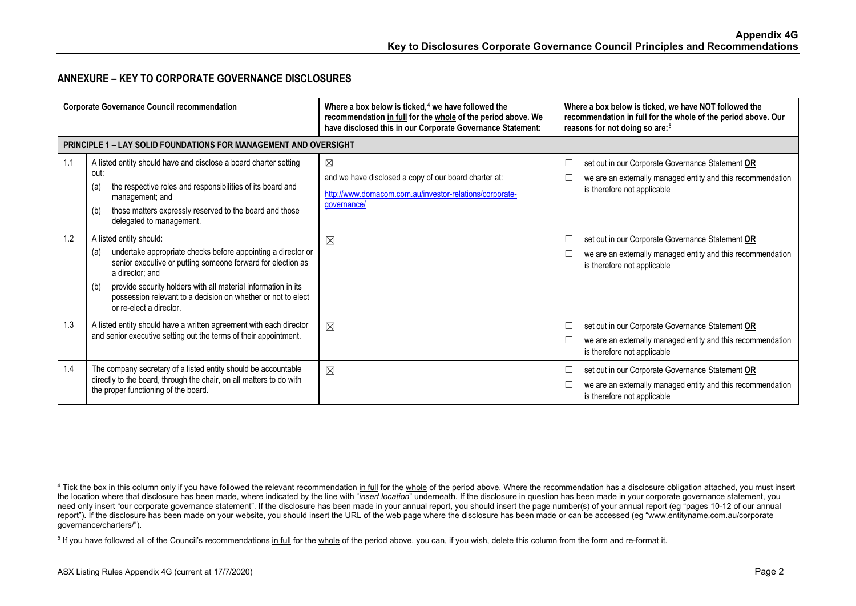## <span id="page-1-1"></span><span id="page-1-0"></span>**ANNEXURE – KEY TO CORPORATE GOVERNANCE DISCLOSURES**

| <b>Corporate Governance Council recommendation</b> |                                                                                                                                                                                                                                                                                                                                                     | Where a box below is ticked, $4$ we have followed the<br>recommendation in full for the whole of the period above. We<br>have disclosed this in our Corporate Governance Statement: | Where a box below is ticked, we have NOT followed the<br>recommendation in full for the whole of the period above. Our<br>reasons for not doing so are: <sup>5</sup> |
|----------------------------------------------------|-----------------------------------------------------------------------------------------------------------------------------------------------------------------------------------------------------------------------------------------------------------------------------------------------------------------------------------------------------|-------------------------------------------------------------------------------------------------------------------------------------------------------------------------------------|----------------------------------------------------------------------------------------------------------------------------------------------------------------------|
|                                                    | <b>PRINCIPLE 1 – LAY SOLID FOUNDATIONS FOR MANAGEMENT AND OVERSIGHT</b>                                                                                                                                                                                                                                                                             |                                                                                                                                                                                     |                                                                                                                                                                      |
| 1.1                                                | A listed entity should have and disclose a board charter setting<br>out:<br>the respective roles and responsibilities of its board and<br>(a)<br>management; and<br>those matters expressly reserved to the board and those<br>(b)<br>delegated to management.                                                                                      | $\boxtimes$<br>and we have disclosed a copy of our board charter at:<br>http://www.domacom.com.au/investor-relations/corporate-<br>governance/                                      | set out in our Corporate Governance Statement OR<br>□<br>we are an externally managed entity and this recommendation<br>is therefore not applicable                  |
| 1.2                                                | A listed entity should:<br>undertake appropriate checks before appointing a director or<br>(a)<br>senior executive or putting someone forward for election as<br>a director: and<br>provide security holders with all material information in its<br>(b)<br>possession relevant to a decision on whether or not to elect<br>or re-elect a director. | ⊠                                                                                                                                                                                   | set out in our Corporate Governance Statement OR<br>⊔<br>we are an externally managed entity and this recommendation<br>L<br>is therefore not applicable             |
| 1.3                                                | A listed entity should have a written agreement with each director<br>and senior executive setting out the terms of their appointment.                                                                                                                                                                                                              | $\boxtimes$                                                                                                                                                                         | set out in our Corporate Governance Statement OR<br>□<br>we are an externally managed entity and this recommendation<br>is therefore not applicable                  |
| 1.4                                                | The company secretary of a listed entity should be accountable<br>directly to the board, through the chair, on all matters to do with<br>the proper functioning of the board.                                                                                                                                                                       | $\boxtimes$                                                                                                                                                                         | set out in our Corporate Governance Statement OR<br>L<br>we are an externally managed entity and this recommendation<br>is therefore not applicable                  |

<sup>&</sup>lt;sup>4</sup> Tick the box in this column only if you have followed the relevant recommendation in full for the whole of the period above. Where the recommendation has a disclosure obligation attached, you must insert the location where that disclosure has been made, where indicated by the line with "*insert location*" underneath. If the disclosure in question has been made in your corporate governance statement, you need only insert "our corporate governance statement". If the disclosure has been made in your annual report, you should insert the page number(s) of your annual report (eg "pages 10-12 of our annual report"). If the disclosure has been made on your website, you should insert the URL of the web page where the disclosure has been made or can be accessed (eg "www.entityname.com.au/corporate governance/charters/").

<sup>&</sup>lt;sup>5</sup> If you have followed all of the Council's recommendations in full for the whole of the period above, you can, if you wish, delete this column from the form and re-format it.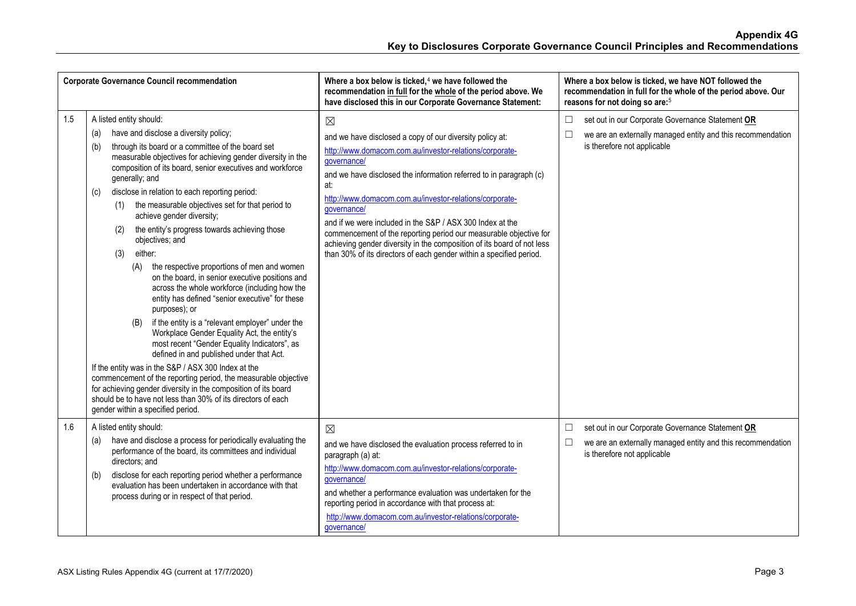| <b>Corporate Governance Council recommendation</b> |                                                                                                                                                                                                                                                                                                                                                                                                                                                                                                                                                                                                                                                                                                                                                                                                                                                                                                                                                                                                                                                                                                                                                                                                                                                                     | Where a box below is ticked, $4$ we have followed the<br>recommendation in full for the whole of the period above. We<br>have disclosed this in our Corporate Governance Statement:                                                                                                                                                                                                                                                                                                                                                                                                         | Where a box below is ticked, we have NOT followed the<br>recommendation in full for the whole of the period above. Our<br>reasons for not doing so are: <sup>5</sup> |
|----------------------------------------------------|---------------------------------------------------------------------------------------------------------------------------------------------------------------------------------------------------------------------------------------------------------------------------------------------------------------------------------------------------------------------------------------------------------------------------------------------------------------------------------------------------------------------------------------------------------------------------------------------------------------------------------------------------------------------------------------------------------------------------------------------------------------------------------------------------------------------------------------------------------------------------------------------------------------------------------------------------------------------------------------------------------------------------------------------------------------------------------------------------------------------------------------------------------------------------------------------------------------------------------------------------------------------|---------------------------------------------------------------------------------------------------------------------------------------------------------------------------------------------------------------------------------------------------------------------------------------------------------------------------------------------------------------------------------------------------------------------------------------------------------------------------------------------------------------------------------------------------------------------------------------------|----------------------------------------------------------------------------------------------------------------------------------------------------------------------|
| 1.5                                                | A listed entity should:<br>have and disclose a diversity policy;<br>(a)<br>through its board or a committee of the board set<br>(b)<br>measurable objectives for achieving gender diversity in the<br>composition of its board, senior executives and workforce<br>generally; and<br>disclose in relation to each reporting period:<br>(c)<br>the measurable objectives set for that period to<br>(1)<br>achieve gender diversity;<br>the entity's progress towards achieving those<br>(2)<br>objectives; and<br>either:<br>(3)<br>the respective proportions of men and women<br>(A)<br>on the board, in senior executive positions and<br>across the whole workforce (including how the<br>entity has defined "senior executive" for these<br>purposes); or<br>if the entity is a "relevant employer" under the<br>(B)<br>Workplace Gender Equality Act, the entity's<br>most recent "Gender Equality Indicators", as<br>defined in and published under that Act.<br>If the entity was in the S&P / ASX 300 Index at the<br>commencement of the reporting period, the measurable objective<br>for achieving gender diversity in the composition of its board<br>should be to have not less than 30% of its directors of each<br>gender within a specified period. | $\boxtimes$<br>and we have disclosed a copy of our diversity policy at:<br>http://www.domacom.com.au/investor-relations/corporate-<br>governance/<br>and we have disclosed the information referred to in paragraph (c)<br>at:<br>http://www.domacom.com.au/investor-relations/corporate-<br>governance/<br>and if we were included in the S&P / ASX 300 Index at the<br>commencement of the reporting period our measurable objective for<br>achieving gender diversity in the composition of its board of not less<br>than 30% of its directors of each gender within a specified period. | set out in our Corporate Governance Statement OR<br>$\Box$<br>we are an externally managed entity and this recommendation<br>is therefore not applicable             |
| 1.6                                                | A listed entity should:<br>have and disclose a process for periodically evaluating the<br>(a)<br>performance of the board, its committees and individual<br>directors; and<br>disclose for each reporting period whether a performance<br>(b)<br>evaluation has been undertaken in accordance with that<br>process during or in respect of that period.                                                                                                                                                                                                                                                                                                                                                                                                                                                                                                                                                                                                                                                                                                                                                                                                                                                                                                             | $\boxtimes$<br>and we have disclosed the evaluation process referred to in<br>paragraph (a) at:<br>http://www.domacom.com.au/investor-relations/corporate-<br>governance/<br>and whether a performance evaluation was undertaken for the<br>reporting period in accordance with that process at:<br>http://www.domacom.com.au/investor-relations/corporate-<br>governance/                                                                                                                                                                                                                  | set out in our Corporate Governance Statement OR<br>$\Box$<br>$\Box$<br>we are an externally managed entity and this recommendation<br>is therefore not applicable   |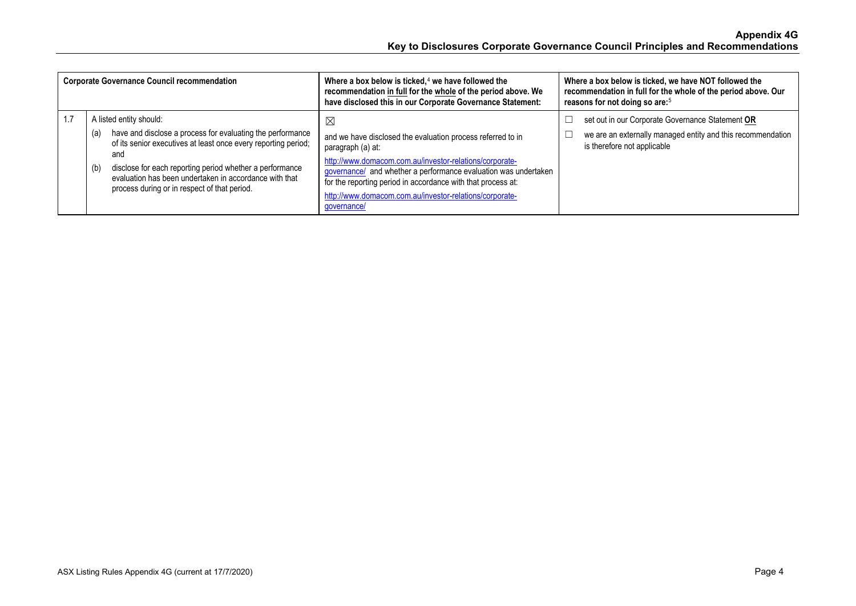| <b>Corporate Governance Council recommendation</b> |                                                                                                                                                                                                                                                                                                                                                    | Where a box below is ticked, $4$ we have followed the<br>recommendation in full for the whole of the period above. We<br>have disclosed this in our Corporate Governance Statement:                                                                                                                                                                           | Where a box below is ticked, we have NOT followed the<br>recommendation in full for the whole of the period above. Our<br>reasons for not doing so are: <sup>5</sup> |
|----------------------------------------------------|----------------------------------------------------------------------------------------------------------------------------------------------------------------------------------------------------------------------------------------------------------------------------------------------------------------------------------------------------|---------------------------------------------------------------------------------------------------------------------------------------------------------------------------------------------------------------------------------------------------------------------------------------------------------------------------------------------------------------|----------------------------------------------------------------------------------------------------------------------------------------------------------------------|
| 1.7                                                | A listed entity should:<br>have and disclose a process for evaluating the performance<br>(a)<br>of its senior executives at least once every reporting period;<br>and<br>disclose for each reporting period whether a performance<br>(b)<br>evaluation has been undertaken in accordance with that<br>process during or in respect of that period. | ⊠<br>and we have disclosed the evaluation process referred to in<br>paragraph (a) at:<br>http://www.domacom.com.au/investor-relations/corporate-<br>governance/ and whether a performance evaluation was undertaken<br>for the reporting period in accordance with that process at:<br>http://www.domacom.com.au/investor-relations/corporate-<br>governance/ | set out in our Corporate Governance Statement OR<br>we are an externally managed entity and this recommendation<br>is therefore not applicable                       |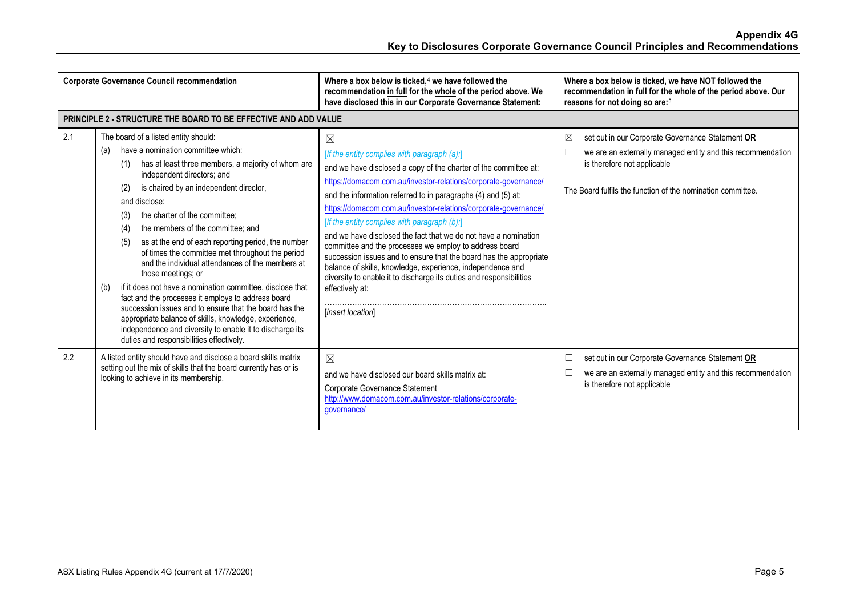| <b>Corporate Governance Council recommendation</b> |                                                                                                                                                                                                                                                                                                                                                                                                                                                                                                                                                                                                                                                                                                                                                                                                                                                                                    | Where a box below is ticked. $4$ we have followed the<br>recommendation in full for the whole of the period above. We<br>have disclosed this in our Corporate Governance Statement:                                                                                                                                                                                                                                                                                                                                                                                                                                                                                                                                                                             | Where a box below is ticked, we have NOT followed the<br>recommendation in full for the whole of the period above. Our<br>reasons for not doing so are: <sup>5</sup>                                                    |
|----------------------------------------------------|------------------------------------------------------------------------------------------------------------------------------------------------------------------------------------------------------------------------------------------------------------------------------------------------------------------------------------------------------------------------------------------------------------------------------------------------------------------------------------------------------------------------------------------------------------------------------------------------------------------------------------------------------------------------------------------------------------------------------------------------------------------------------------------------------------------------------------------------------------------------------------|-----------------------------------------------------------------------------------------------------------------------------------------------------------------------------------------------------------------------------------------------------------------------------------------------------------------------------------------------------------------------------------------------------------------------------------------------------------------------------------------------------------------------------------------------------------------------------------------------------------------------------------------------------------------------------------------------------------------------------------------------------------------|-------------------------------------------------------------------------------------------------------------------------------------------------------------------------------------------------------------------------|
|                                                    | <b>PRINCIPLE 2 - STRUCTURE THE BOARD TO BE EFFECTIVE AND ADD VALUE</b>                                                                                                                                                                                                                                                                                                                                                                                                                                                                                                                                                                                                                                                                                                                                                                                                             |                                                                                                                                                                                                                                                                                                                                                                                                                                                                                                                                                                                                                                                                                                                                                                 |                                                                                                                                                                                                                         |
| 2.1                                                | The board of a listed entity should:<br>have a nomination committee which:<br>(a)<br>has at least three members, a majority of whom are<br>(1)<br>independent directors; and<br>is chaired by an independent director,<br>(2)<br>and disclose:<br>the charter of the committee:<br>(3)<br>the members of the committee; and<br>(4)<br>as at the end of each reporting period, the number<br>(5)<br>of times the committee met throughout the period<br>and the individual attendances of the members at<br>those meetings; or<br>if it does not have a nomination committee, disclose that<br>(b)<br>fact and the processes it employs to address board<br>succession issues and to ensure that the board has the<br>appropriate balance of skills, knowledge, experience,<br>independence and diversity to enable it to discharge its<br>duties and responsibilities effectively. | ⊠<br>[If the entity complies with paragraph $(a)$ :]<br>and we have disclosed a copy of the charter of the committee at:<br>https://domacom.com.au/investor-relations/corporate-governance/<br>and the information referred to in paragraphs (4) and (5) at:<br>https://domacom.com.au/investor-relations/corporate-governance/<br>[If the entity complies with paragraph (b):]<br>and we have disclosed the fact that we do not have a nomination<br>committee and the processes we employ to address board<br>succession issues and to ensure that the board has the appropriate<br>balance of skills, knowledge, experience, independence and<br>diversity to enable it to discharge its duties and responsibilities<br>effectively at:<br>[insert location] | set out in our Corporate Governance Statement OR<br>⊠<br>□<br>we are an externally managed entity and this recommendation<br>is therefore not applicable<br>The Board fulfils the function of the nomination committee. |
| 2.2                                                | A listed entity should have and disclose a board skills matrix<br>setting out the mix of skills that the board currently has or is<br>looking to achieve in its membership.                                                                                                                                                                                                                                                                                                                                                                                                                                                                                                                                                                                                                                                                                                        | $\boxtimes$<br>and we have disclosed our board skills matrix at:<br>Corporate Governance Statement<br>http://www.domacom.com.au/investor-relations/corporate-<br>governance/                                                                                                                                                                                                                                                                                                                                                                                                                                                                                                                                                                                    | set out in our Corporate Governance Statement OR<br>$\Box$<br>we are an externally managed entity and this recommendation<br>$\Box$<br>is therefore not applicable                                                      |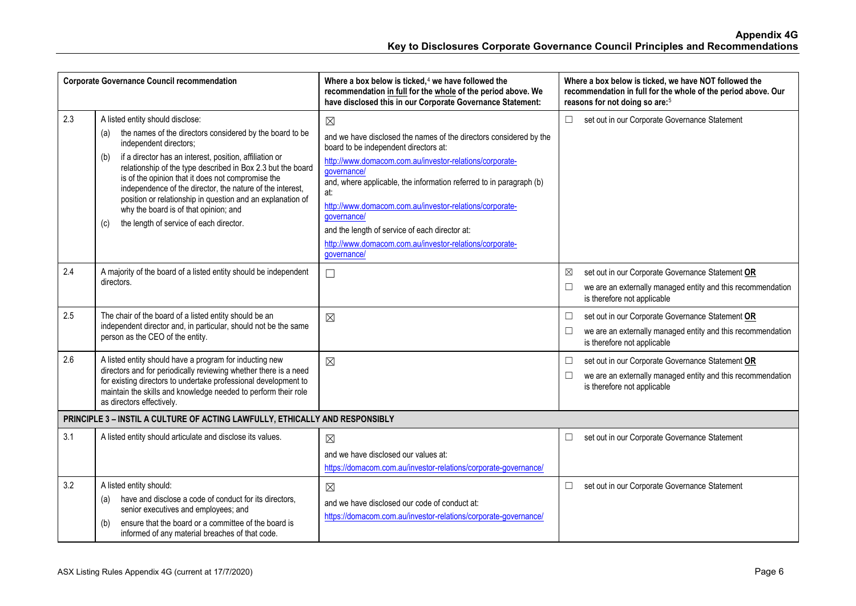| <b>Corporate Governance Council recommendation</b> |                                                                                                                                                                                                                                                                                                                                                                                                                                                                                                                                           | Where a box below is ticked, <sup>4</sup> we have followed the<br>recommendation in full for the whole of the period above. We<br>have disclosed this in our Corporate Governance Statement:                                                                                                                                                                                                                                                                                             | Where a box below is ticked, we have NOT followed the<br>recommendation in full for the whole of the period above. Our<br>reasons for not doing so are: <sup>5</sup> |
|----------------------------------------------------|-------------------------------------------------------------------------------------------------------------------------------------------------------------------------------------------------------------------------------------------------------------------------------------------------------------------------------------------------------------------------------------------------------------------------------------------------------------------------------------------------------------------------------------------|------------------------------------------------------------------------------------------------------------------------------------------------------------------------------------------------------------------------------------------------------------------------------------------------------------------------------------------------------------------------------------------------------------------------------------------------------------------------------------------|----------------------------------------------------------------------------------------------------------------------------------------------------------------------|
| 2.3                                                | A listed entity should disclose:<br>the names of the directors considered by the board to be<br>(a)<br>independent directors;<br>if a director has an interest, position, affiliation or<br>(b)<br>relationship of the type described in Box 2.3 but the board<br>is of the opinion that it does not compromise the<br>independence of the director, the nature of the interest,<br>position or relationship in question and an explanation of<br>why the board is of that opinion; and<br>the length of service of each director.<br>(c) | $\boxtimes$<br>and we have disclosed the names of the directors considered by the<br>board to be independent directors at:<br>http://www.domacom.com.au/investor-relations/corporate-<br>qovernance/<br>and, where applicable, the information referred to in paragraph (b)<br>at:<br>http://www.domacom.com.au/investor-relations/corporate-<br>governance/<br>and the length of service of each director at:<br>http://www.domacom.com.au/investor-relations/corporate-<br>governance/ | $\Box$<br>set out in our Corporate Governance Statement                                                                                                              |
| 2.4                                                | A majority of the board of a listed entity should be independent<br>directors.                                                                                                                                                                                                                                                                                                                                                                                                                                                            | $\Box$                                                                                                                                                                                                                                                                                                                                                                                                                                                                                   | set out in our Corporate Governance Statement OR<br>⊠<br>we are an externally managed entity and this recommendation<br>is therefore not applicable                  |
| 2.5                                                | The chair of the board of a listed entity should be an<br>independent director and, in particular, should not be the same<br>person as the CEO of the entity.                                                                                                                                                                                                                                                                                                                                                                             | $\boxtimes$                                                                                                                                                                                                                                                                                                                                                                                                                                                                              | set out in our Corporate Governance Statement OR<br>□<br>we are an externally managed entity and this recommendation<br>$\Box$<br>is therefore not applicable        |
| 2.6                                                | A listed entity should have a program for inducting new<br>directors and for periodically reviewing whether there is a need<br>for existing directors to undertake professional development to<br>maintain the skills and knowledge needed to perform their role<br>as directors effectively.                                                                                                                                                                                                                                             | $\boxtimes$                                                                                                                                                                                                                                                                                                                                                                                                                                                                              | set out in our Corporate Governance Statement OR<br>□<br>we are an externally managed entity and this recommendation<br>$\Box$<br>is therefore not applicable        |
|                                                    | PRINCIPLE 3 - INSTIL A CULTURE OF ACTING LAWFULLY, ETHICALLY AND RESPONSIBLY                                                                                                                                                                                                                                                                                                                                                                                                                                                              |                                                                                                                                                                                                                                                                                                                                                                                                                                                                                          |                                                                                                                                                                      |
| 3.1                                                | A listed entity should articulate and disclose its values.                                                                                                                                                                                                                                                                                                                                                                                                                                                                                | $\boxtimes$<br>and we have disclosed our values at:<br>https://domacom.com.au/investor-relations/corporate-governance/                                                                                                                                                                                                                                                                                                                                                                   | set out in our Corporate Governance Statement<br>$\Box$                                                                                                              |
| 3.2                                                | A listed entity should:<br>have and disclose a code of conduct for its directors,<br>(a)<br>senior executives and employees; and<br>ensure that the board or a committee of the board is<br>(b)<br>informed of any material breaches of that code.                                                                                                                                                                                                                                                                                        | $\boxtimes$<br>and we have disclosed our code of conduct at:<br>https://domacom.com.au/investor-relations/corporate-governance/                                                                                                                                                                                                                                                                                                                                                          | set out in our Corporate Governance Statement<br>□                                                                                                                   |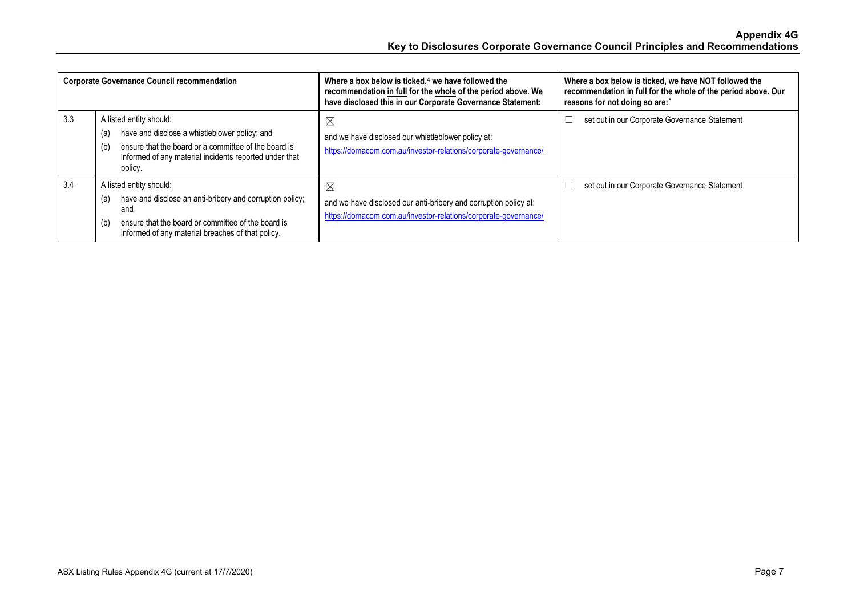| <b>Corporate Governance Council recommendation</b> |                                                                                                                                                                                                                     | Where a box below is ticked, $4$ we have followed the<br>recommendation in full for the whole of the period above. We<br>have disclosed this in our Corporate Governance Statement: | Where a box below is ticked, we have NOT followed the<br>recommendation in full for the whole of the period above. Our<br>reasons for not doing so are: <sup>5</sup> |
|----------------------------------------------------|---------------------------------------------------------------------------------------------------------------------------------------------------------------------------------------------------------------------|-------------------------------------------------------------------------------------------------------------------------------------------------------------------------------------|----------------------------------------------------------------------------------------------------------------------------------------------------------------------|
| 3.3                                                | A listed entity should:<br>have and disclose a whistleblower policy; and<br>(a)<br>ensure that the board or a committee of the board is<br>(b)<br>informed of any material incidents reported under that<br>policy. | $\boxtimes$<br>and we have disclosed our whistleblower policy at:<br>https://domacom.com.au/investor-relations/corporate-governance/                                                | set out in our Corporate Governance Statement                                                                                                                        |
| 3.4                                                | A listed entity should:<br>have and disclose an anti-bribery and corruption policy;<br>(a)<br>and<br>ensure that the board or committee of the board is<br>(b)<br>informed of any material breaches of that policy. | ⊠<br>and we have disclosed our anti-bribery and corruption policy at:<br>https://domacom.com.au/investor-relations/corporate-governance/                                            | set out in our Corporate Governance Statement                                                                                                                        |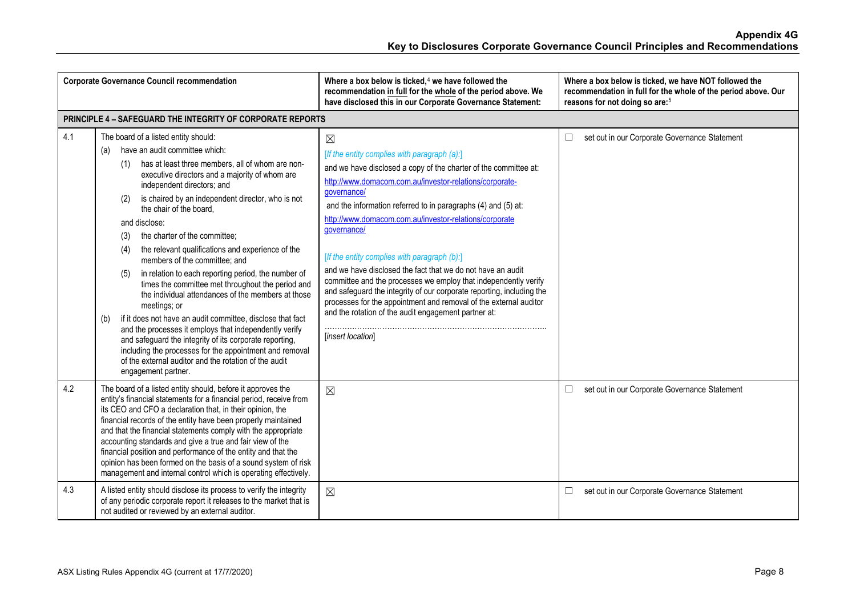| <b>Corporate Governance Council recommendation</b> |                                                                                                                                                                                                                                                                                                                                                                                                                                                                                                                                                                                                                                                                                                                                                                                                                                                                                                                                                                                                     | Where a box below is ticked, <sup>4</sup> we have followed the<br>recommendation in full for the whole of the period above. We<br>have disclosed this in our Corporate Governance Statement:                                                                                                                                                                                                                                                                                                                                                                                                                                                                                                                                                                     | Where a box below is ticked, we have NOT followed the<br>recommendation in full for the whole of the period above. Our<br>reasons for not doing so are: <sup>5</sup> |
|----------------------------------------------------|-----------------------------------------------------------------------------------------------------------------------------------------------------------------------------------------------------------------------------------------------------------------------------------------------------------------------------------------------------------------------------------------------------------------------------------------------------------------------------------------------------------------------------------------------------------------------------------------------------------------------------------------------------------------------------------------------------------------------------------------------------------------------------------------------------------------------------------------------------------------------------------------------------------------------------------------------------------------------------------------------------|------------------------------------------------------------------------------------------------------------------------------------------------------------------------------------------------------------------------------------------------------------------------------------------------------------------------------------------------------------------------------------------------------------------------------------------------------------------------------------------------------------------------------------------------------------------------------------------------------------------------------------------------------------------------------------------------------------------------------------------------------------------|----------------------------------------------------------------------------------------------------------------------------------------------------------------------|
|                                                    | <b>PRINCIPLE 4 - SAFEGUARD THE INTEGRITY OF CORPORATE REPORTS</b>                                                                                                                                                                                                                                                                                                                                                                                                                                                                                                                                                                                                                                                                                                                                                                                                                                                                                                                                   |                                                                                                                                                                                                                                                                                                                                                                                                                                                                                                                                                                                                                                                                                                                                                                  |                                                                                                                                                                      |
| 4.1                                                | The board of a listed entity should:<br>have an audit committee which:<br>(a)<br>has at least three members, all of whom are non-<br>(1)<br>executive directors and a majority of whom are<br>independent directors; and<br>is chaired by an independent director, who is not<br>(2)<br>the chair of the board.<br>and disclose:<br>the charter of the committee;<br>(3)<br>the relevant qualifications and experience of the<br>(4)<br>members of the committee; and<br>in relation to each reporting period, the number of<br>(5)<br>times the committee met throughout the period and<br>the individual attendances of the members at those<br>meetings; or<br>if it does not have an audit committee, disclose that fact<br>(b)<br>and the processes it employs that independently verify<br>and safeguard the integrity of its corporate reporting,<br>including the processes for the appointment and removal<br>of the external auditor and the rotation of the audit<br>engagement partner. | $\boxtimes$<br>[If the entity complies with paragraph (a):]<br>and we have disclosed a copy of the charter of the committee at:<br>http://www.domacom.com.au/investor-relations/corporate-<br>qovernance/<br>and the information referred to in paragraphs (4) and (5) at:<br>http://www.domacom.com.au/investor-relations/corporate<br>qovernance/<br>[If the entity complies with paragraph (b):]<br>and we have disclosed the fact that we do not have an audit<br>committee and the processes we employ that independently verify<br>and safeguard the integrity of our corporate reporting, including the<br>processes for the appointment and removal of the external auditor<br>and the rotation of the audit engagement partner at:<br>[insert location] | set out in our Corporate Governance Statement<br>$\Box$                                                                                                              |
| 4.2                                                | The board of a listed entity should, before it approves the<br>entity's financial statements for a financial period, receive from<br>its CEO and CFO a declaration that, in their opinion, the<br>financial records of the entity have been properly maintained<br>and that the financial statements comply with the appropriate<br>accounting standards and give a true and fair view of the<br>financial position and performance of the entity and that the<br>opinion has been formed on the basis of a sound system of risk<br>management and internal control which is operating effectively.                                                                                                                                                                                                                                                                                                                                                                                                 | $\boxtimes$                                                                                                                                                                                                                                                                                                                                                                                                                                                                                                                                                                                                                                                                                                                                                      | set out in our Corporate Governance Statement<br>□                                                                                                                   |
| 4.3                                                | A listed entity should disclose its process to verify the integrity<br>of any periodic corporate report it releases to the market that is<br>not audited or reviewed by an external auditor.                                                                                                                                                                                                                                                                                                                                                                                                                                                                                                                                                                                                                                                                                                                                                                                                        | $\boxtimes$                                                                                                                                                                                                                                                                                                                                                                                                                                                                                                                                                                                                                                                                                                                                                      | set out in our Corporate Governance Statement<br>$\Box$                                                                                                              |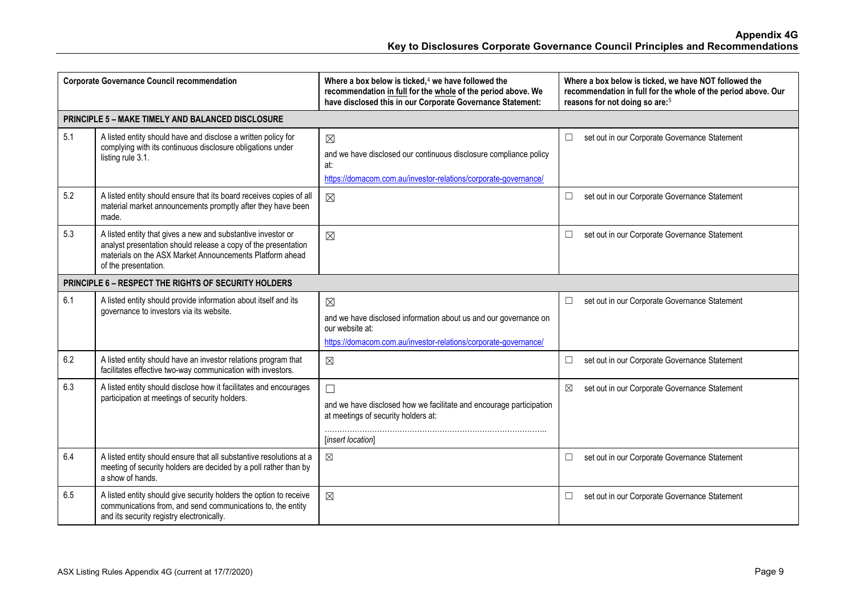| <b>Corporate Governance Council recommendation</b> |                                                                                                                                                                                                                    | Where a box below is ticked, <sup>4</sup> we have followed the<br>recommendation in full for the whole of the period above. We<br>have disclosed this in our Corporate Governance Statement: | Where a box below is ticked, we have NOT followed the<br>recommendation in full for the whole of the period above. Our<br>reasons for not doing so are: <sup>5</sup> |
|----------------------------------------------------|--------------------------------------------------------------------------------------------------------------------------------------------------------------------------------------------------------------------|----------------------------------------------------------------------------------------------------------------------------------------------------------------------------------------------|----------------------------------------------------------------------------------------------------------------------------------------------------------------------|
|                                                    | PRINCIPLE 5 - MAKE TIMELY AND BALANCED DISCLOSURE                                                                                                                                                                  |                                                                                                                                                                                              |                                                                                                                                                                      |
| 5.1                                                | A listed entity should have and disclose a written policy for<br>complying with its continuous disclosure obligations under<br>listing rule 3.1.                                                                   | $\boxtimes$<br>and we have disclosed our continuous disclosure compliance policy<br>at:<br>https://domacom.com.au/investor-relations/corporate-governance/                                   | set out in our Corporate Governance Statement<br>□                                                                                                                   |
| 5.2                                                | A listed entity should ensure that its board receives copies of all<br>material market announcements promptly after they have been<br>made.                                                                        | $\boxtimes$                                                                                                                                                                                  | set out in our Corporate Governance Statement<br>□                                                                                                                   |
| 5.3                                                | A listed entity that gives a new and substantive investor or<br>analyst presentation should release a copy of the presentation<br>materials on the ASX Market Announcements Platform ahead<br>of the presentation. | $\boxtimes$                                                                                                                                                                                  | set out in our Corporate Governance Statement<br>$\Box$                                                                                                              |
|                                                    | PRINCIPLE 6 - RESPECT THE RIGHTS OF SECURITY HOLDERS                                                                                                                                                               |                                                                                                                                                                                              |                                                                                                                                                                      |
| 6.1                                                | A listed entity should provide information about itself and its<br>governance to investors via its website.                                                                                                        | $\boxtimes$<br>and we have disclosed information about us and our governance on<br>our website at:<br>https://domacom.com.au/investor-relations/corporate-governance/                        | set out in our Corporate Governance Statement<br>□                                                                                                                   |
| 6.2                                                | A listed entity should have an investor relations program that<br>facilitates effective two-way communication with investors.                                                                                      | $\boxtimes$                                                                                                                                                                                  | set out in our Corporate Governance Statement<br>$\Box$                                                                                                              |
| 6.3                                                | A listed entity should disclose how it facilitates and encourages<br>participation at meetings of security holders.                                                                                                | $\Box$<br>and we have disclosed how we facilitate and encourage participation<br>at meetings of security holders at:<br>[insert location]                                                    | set out in our Corporate Governance Statement<br>⊠                                                                                                                   |
| 6.4                                                | A listed entity should ensure that all substantive resolutions at a<br>meeting of security holders are decided by a poll rather than by<br>a show of hands.                                                        | $\boxtimes$                                                                                                                                                                                  | set out in our Corporate Governance Statement<br>□                                                                                                                   |
| 6.5                                                | A listed entity should give security holders the option to receive<br>communications from, and send communications to, the entity<br>and its security registry electronically.                                     | $\boxtimes$                                                                                                                                                                                  | set out in our Corporate Governance Statement<br>□                                                                                                                   |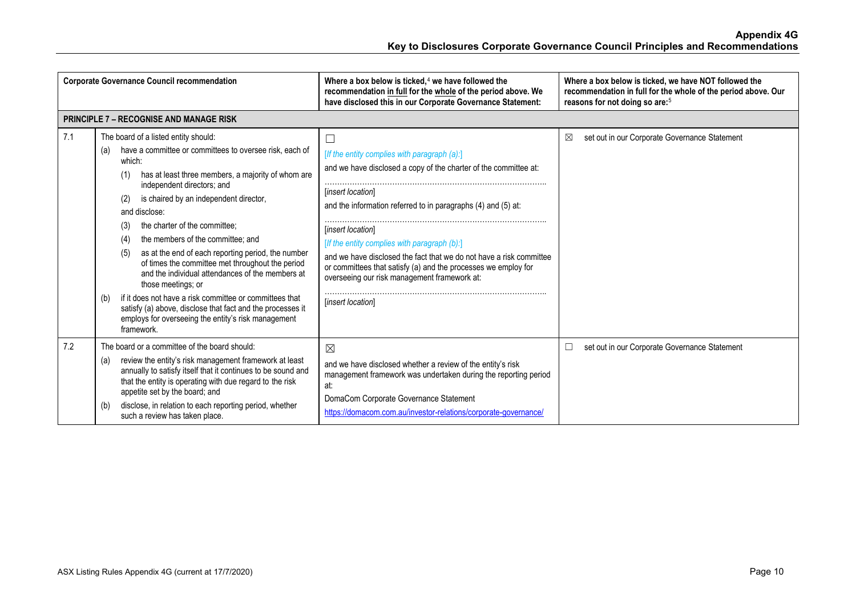| <b>Corporate Governance Council recommendation</b> |                                                                                                                                                                                                                                                                                                                                                                                                                                                                                                                                                                                                                                                                                                                                                                   | Where a box below is ticked, $4$ we have followed the<br>recommendation in full for the whole of the period above. We<br>have disclosed this in our Corporate Governance Statement:                                                                                                                                                                                                                                                                                                       | Where a box below is ticked, we have NOT followed the<br>recommendation in full for the whole of the period above. Our<br>reasons for not doing so are: <sup>5</sup> |
|----------------------------------------------------|-------------------------------------------------------------------------------------------------------------------------------------------------------------------------------------------------------------------------------------------------------------------------------------------------------------------------------------------------------------------------------------------------------------------------------------------------------------------------------------------------------------------------------------------------------------------------------------------------------------------------------------------------------------------------------------------------------------------------------------------------------------------|-------------------------------------------------------------------------------------------------------------------------------------------------------------------------------------------------------------------------------------------------------------------------------------------------------------------------------------------------------------------------------------------------------------------------------------------------------------------------------------------|----------------------------------------------------------------------------------------------------------------------------------------------------------------------|
|                                                    | <b>PRINCIPLE 7 - RECOGNISE AND MANAGE RISK</b>                                                                                                                                                                                                                                                                                                                                                                                                                                                                                                                                                                                                                                                                                                                    |                                                                                                                                                                                                                                                                                                                                                                                                                                                                                           |                                                                                                                                                                      |
| 7.1                                                | The board of a listed entity should:<br>have a committee or committees to oversee risk, each of<br>(a)<br>which:<br>has at least three members, a majority of whom are<br>(1)<br>independent directors; and<br>is chaired by an independent director,<br>(2)<br>and disclose:<br>the charter of the committee;<br>(3)<br>the members of the committee; and<br>(4)<br>as at the end of each reporting period, the number<br>(5)<br>of times the committee met throughout the period<br>and the individual attendances of the members at<br>those meetings; or<br>if it does not have a risk committee or committees that<br>(b)<br>satisfy (a) above, disclose that fact and the processes it<br>employs for overseeing the entity's risk management<br>framework. | [If the entity complies with paragraph (a):]<br>and we have disclosed a copy of the charter of the committee at:<br>[insert location]<br>and the information referred to in paragraphs (4) and (5) at:<br>[insert location]<br>[If the entity complies with paragraph (b):]<br>and we have disclosed the fact that we do not have a risk committee<br>or committees that satisfy (a) and the processes we employ for<br>overseeing our risk management framework at:<br>[insert location] | set out in our Corporate Governance Statement<br>⊠                                                                                                                   |
| 7.2                                                | The board or a committee of the board should:<br>review the entity's risk management framework at least<br>(a)<br>annually to satisfy itself that it continues to be sound and<br>that the entity is operating with due regard to the risk<br>appetite set by the board; and<br>disclose, in relation to each reporting period, whether<br>(b)<br>such a review has taken place.                                                                                                                                                                                                                                                                                                                                                                                  | $\boxtimes$<br>and we have disclosed whether a review of the entity's risk<br>management framework was undertaken during the reporting period<br>at:<br>DomaCom Corporate Governance Statement<br>https://domacom.com.au/investor-relations/corporate-governance/                                                                                                                                                                                                                         | set out in our Corporate Governance Statement                                                                                                                        |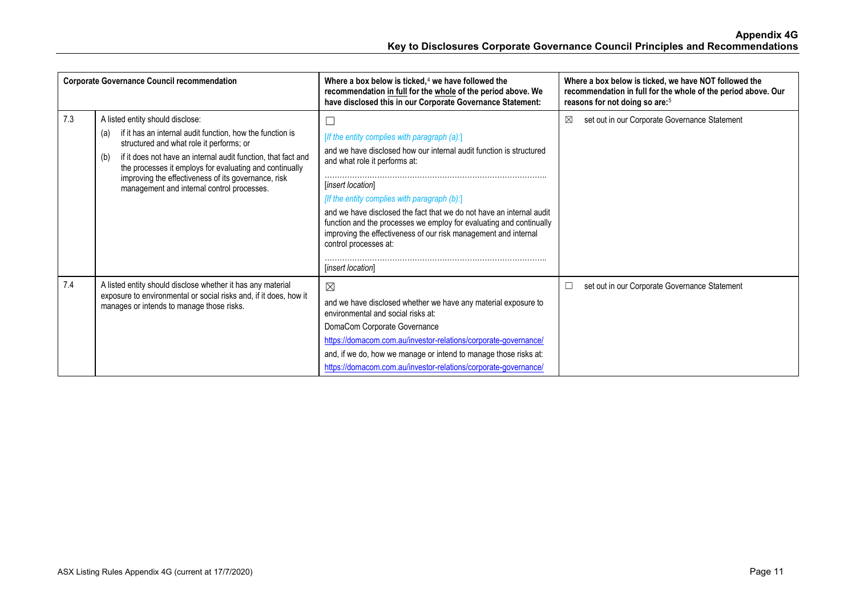| <b>Corporate Governance Council recommendation</b> |                                                                                                                                                                                                                                                                                                                                                                                          | Where a box below is ticked, $4$ we have followed the<br>recommendation in full for the whole of the period above. We<br>have disclosed this in our Corporate Governance Statement:                                                                                                                                                                                                                                                                                                                   | Where a box below is ticked, we have NOT followed the<br>recommendation in full for the whole of the period above. Our<br>reasons for not doing so are: <sup>5</sup> |
|----------------------------------------------------|------------------------------------------------------------------------------------------------------------------------------------------------------------------------------------------------------------------------------------------------------------------------------------------------------------------------------------------------------------------------------------------|-------------------------------------------------------------------------------------------------------------------------------------------------------------------------------------------------------------------------------------------------------------------------------------------------------------------------------------------------------------------------------------------------------------------------------------------------------------------------------------------------------|----------------------------------------------------------------------------------------------------------------------------------------------------------------------|
| 7.3                                                | A listed entity should disclose:<br>if it has an internal audit function, how the function is<br>(a)<br>structured and what role it performs; or<br>if it does not have an internal audit function, that fact and<br>(b)<br>the processes it employs for evaluating and continually<br>improving the effectiveness of its governance, risk<br>management and internal control processes. | [If the entity complies with paragraph $(a)$ :]<br>and we have disclosed how our internal audit function is structured<br>and what role it performs at:<br><i>linsert location</i><br>[If the entity complies with paragraph $(b)$ :]<br>and we have disclosed the fact that we do not have an internal audit<br>function and the processes we employ for evaluating and continually<br>improving the effectiveness of our risk management and internal<br>control processes at:<br>[insert location] | set out in our Corporate Governance Statement<br>⊠                                                                                                                   |
| 7.4                                                | A listed entity should disclose whether it has any material<br>exposure to environmental or social risks and, if it does, how it<br>manages or intends to manage those risks.                                                                                                                                                                                                            | $\boxtimes$<br>and we have disclosed whether we have any material exposure to<br>environmental and social risks at:<br>DomaCom Corporate Governance<br>https://domacom.com.au/investor-relations/corporate-governance/<br>and, if we do, how we manage or intend to manage those risks at:<br>https://domacom.com.au/investor-relations/corporate-governance/                                                                                                                                         | set out in our Corporate Governance Statement                                                                                                                        |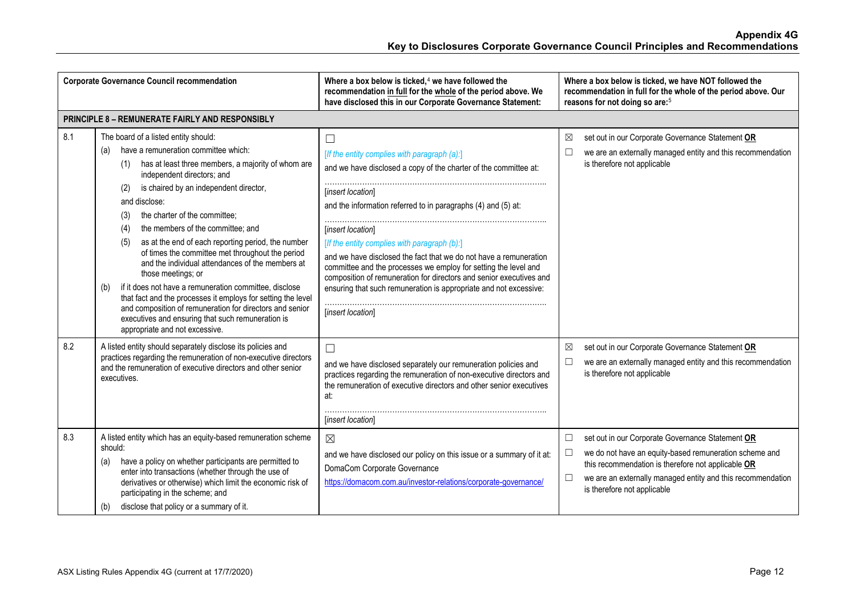| <b>Corporate Governance Council recommendation</b> |                                                                                                                                                                                                                                                                                                                                                                                                                                                                                                                                                                                                                                                                                                                                                                                                                     | Where a box below is ticked, $4$ we have followed the<br>recommendation in full for the whole of the period above. We<br>have disclosed this in our Corporate Governance Statement:                                                                                                                                                                                                                                                                                                                                                                                                            | Where a box below is ticked, we have NOT followed the<br>recommendation in full for the whole of the period above. Our<br>reasons for not doing so are: <sup>5</sup>                                                                                                                         |
|----------------------------------------------------|---------------------------------------------------------------------------------------------------------------------------------------------------------------------------------------------------------------------------------------------------------------------------------------------------------------------------------------------------------------------------------------------------------------------------------------------------------------------------------------------------------------------------------------------------------------------------------------------------------------------------------------------------------------------------------------------------------------------------------------------------------------------------------------------------------------------|------------------------------------------------------------------------------------------------------------------------------------------------------------------------------------------------------------------------------------------------------------------------------------------------------------------------------------------------------------------------------------------------------------------------------------------------------------------------------------------------------------------------------------------------------------------------------------------------|----------------------------------------------------------------------------------------------------------------------------------------------------------------------------------------------------------------------------------------------------------------------------------------------|
|                                                    | <b>PRINCIPLE 8 - REMUNERATE FAIRLY AND RESPONSIBLY</b>                                                                                                                                                                                                                                                                                                                                                                                                                                                                                                                                                                                                                                                                                                                                                              |                                                                                                                                                                                                                                                                                                                                                                                                                                                                                                                                                                                                |                                                                                                                                                                                                                                                                                              |
| 8.1                                                | The board of a listed entity should:<br>have a remuneration committee which:<br>(a)<br>has at least three members, a majority of whom are<br>(1)<br>independent directors; and<br>is chaired by an independent director,<br>(2)<br>and disclose:<br>the charter of the committee;<br>(3)<br>the members of the committee; and<br>(4)<br>as at the end of each reporting period, the number<br>(5)<br>of times the committee met throughout the period<br>and the individual attendances of the members at<br>those meetings; or<br>if it does not have a remuneration committee, disclose<br>(b)<br>that fact and the processes it employs for setting the level<br>and composition of remuneration for directors and senior<br>executives and ensuring that such remuneration is<br>appropriate and not excessive. | $\Box$<br>[If the entity complies with paragraph (a):]<br>and we have disclosed a copy of the charter of the committee at:<br>[insert location]<br>and the information referred to in paragraphs (4) and (5) at:<br>[insert location]<br>[If the entity complies with paragraph (b):]<br>and we have disclosed the fact that we do not have a remuneration<br>committee and the processes we employ for setting the level and<br>composition of remuneration for directors and senior executives and<br>ensuring that such remuneration is appropriate and not excessive:<br>[insert location] | set out in our Corporate Governance Statement OR<br>⊠<br>we are an externally managed entity and this recommendation<br>$\Box$<br>is therefore not applicable                                                                                                                                |
| 8.2                                                | A listed entity should separately disclose its policies and<br>practices regarding the remuneration of non-executive directors<br>and the remuneration of executive directors and other senior<br>executives.                                                                                                                                                                                                                                                                                                                                                                                                                                                                                                                                                                                                       | $\Box$<br>and we have disclosed separately our remuneration policies and<br>practices regarding the remuneration of non-executive directors and<br>the remuneration of executive directors and other senior executives<br>at:<br>[insert location]                                                                                                                                                                                                                                                                                                                                             | set out in our Corporate Governance Statement OR<br>⊠<br>we are an externally managed entity and this recommendation<br>$\Box$<br>is therefore not applicable                                                                                                                                |
| 8.3                                                | A listed entity which has an equity-based remuneration scheme<br>should:<br>have a policy on whether participants are permitted to<br>(a)<br>enter into transactions (whether through the use of<br>derivatives or otherwise) which limit the economic risk of<br>participating in the scheme; and<br>disclose that policy or a summary of it.<br>(b)                                                                                                                                                                                                                                                                                                                                                                                                                                                               | $\boxtimes$<br>and we have disclosed our policy on this issue or a summary of it at:<br>DomaCom Corporate Governance<br>https://domacom.com.au/investor-relations/corporate-governance/                                                                                                                                                                                                                                                                                                                                                                                                        | set out in our Corporate Governance Statement OR<br>$\Box$<br>we do not have an equity-based remuneration scheme and<br>$\Box$<br>this recommendation is therefore not applicable OR<br>$\Box$<br>we are an externally managed entity and this recommendation<br>is therefore not applicable |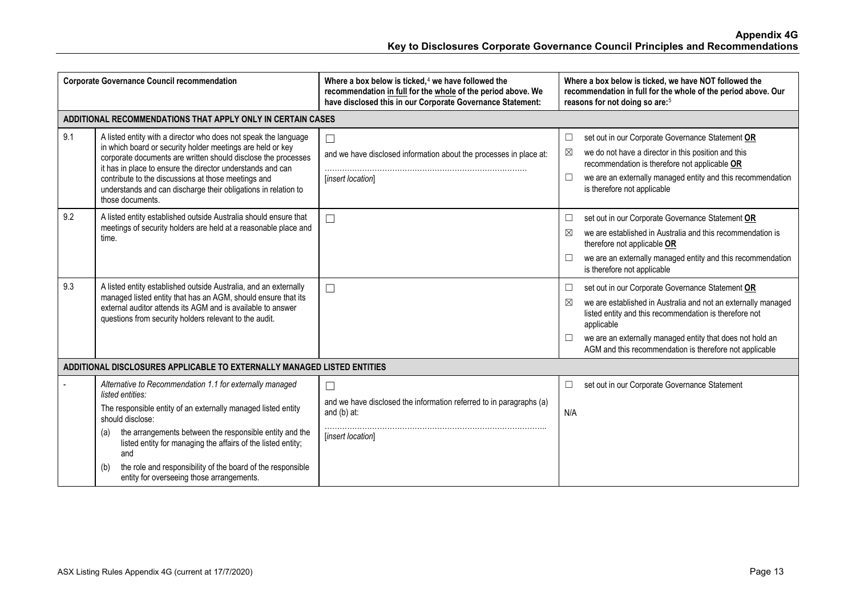| <b>Corporate Governance Council recommendation</b>                      |                                                                                                                                                                                                                                                                                                                                                                                                                               | Where a box below is ticked, $4$ we have followed the<br>recommendation in full for the whole of the period above. We<br>have disclosed this in our Corporate Governance Statement: | Where a box below is ticked, we have NOT followed the<br>recommendation in full for the whole of the period above. Our<br>reasons for not doing so are: <sup>5</sup>                                                                                                                                                                  |  |  |
|-------------------------------------------------------------------------|-------------------------------------------------------------------------------------------------------------------------------------------------------------------------------------------------------------------------------------------------------------------------------------------------------------------------------------------------------------------------------------------------------------------------------|-------------------------------------------------------------------------------------------------------------------------------------------------------------------------------------|---------------------------------------------------------------------------------------------------------------------------------------------------------------------------------------------------------------------------------------------------------------------------------------------------------------------------------------|--|--|
| ADDITIONAL RECOMMENDATIONS THAT APPLY ONLY IN CERTAIN CASES             |                                                                                                                                                                                                                                                                                                                                                                                                                               |                                                                                                                                                                                     |                                                                                                                                                                                                                                                                                                                                       |  |  |
| 9.1                                                                     | A listed entity with a director who does not speak the language<br>in which board or security holder meetings are held or key<br>corporate documents are written should disclose the processes<br>it has in place to ensure the director understands and can<br>contribute to the discussions at those meetings and<br>understands and can discharge their obligations in relation to<br>those documents.                     | $\Box$<br>and we have disclosed information about the processes in place at:<br>[insert location]                                                                                   | set out in our Corporate Governance Statement OR<br>$\Box$<br>we do not have a director in this position and this<br>⊠<br>recommendation is therefore not applicable OR<br>we are an externally managed entity and this recommendation<br>$\Box$<br>is therefore not applicable                                                       |  |  |
| 9.2                                                                     | A listed entity established outside Australia should ensure that<br>meetings of security holders are held at a reasonable place and<br>time.                                                                                                                                                                                                                                                                                  | $\Box$                                                                                                                                                                              | set out in our Corporate Governance Statement OR<br>$\Box$<br>we are established in Australia and this recommendation is<br>⊠<br>therefore not applicable OR<br>we are an externally managed entity and this recommendation<br>$\Box$<br>is therefore not applicable                                                                  |  |  |
| 9.3                                                                     | A listed entity established outside Australia, and an externally<br>managed listed entity that has an AGM, should ensure that its<br>external auditor attends its AGM and is available to answer<br>questions from security holders relevant to the audit.                                                                                                                                                                    | $\Box$                                                                                                                                                                              | set out in our Corporate Governance Statement OR<br>$\Box$<br>we are established in Australia and not an externally managed<br>⊠<br>listed entity and this recommendation is therefore not<br>applicable<br>we are an externally managed entity that does not hold an<br>⊔<br>AGM and this recommendation is therefore not applicable |  |  |
| ADDITIONAL DISCLOSURES APPLICABLE TO EXTERNALLY MANAGED LISTED ENTITIES |                                                                                                                                                                                                                                                                                                                                                                                                                               |                                                                                                                                                                                     |                                                                                                                                                                                                                                                                                                                                       |  |  |
|                                                                         | Alternative to Recommendation 1.1 for externally managed<br>listed entities:<br>The responsible entity of an externally managed listed entity<br>should disclose:<br>the arrangements between the responsible entity and the<br>(a)<br>listed entity for managing the affairs of the listed entity;<br>and<br>the role and responsibility of the board of the responsible<br>(b)<br>entity for overseeing those arrangements. | П<br>and we have disclosed the information referred to in paragraphs (a)<br>and $(b)$ at:<br>[insert location]                                                                      | set out in our Corporate Governance Statement<br>$\Box$<br>N/A                                                                                                                                                                                                                                                                        |  |  |